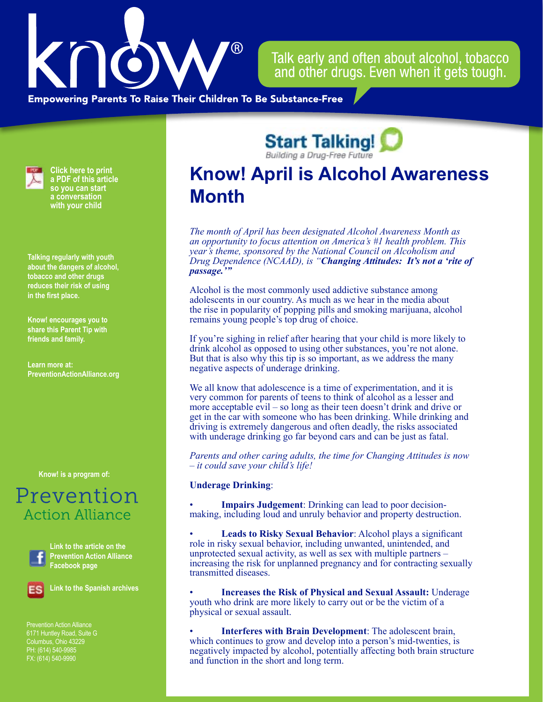

Talk early and often about alcohol, tobacco and other drugs. Even when it gets tough.

**Empowering Parents To Raise Their Children To Be Substance-Free** 



**Click here to print a PDF of this article so you can start a conversation with your child**

**Talking regularly with youth about the dangers of alcohol, tobacco and other drugs reduces their risk of using in the first place.**

**Know! encourages you to share this Parent Tip with friends and family.**

**Learn more at: PreventionActionAlliance[.org](https://www.drugfreeactionalliance.org/)**

**[Know! is a program of:](https://preventionactionalliance.org/)**

## Prevention **Action Alliance**



**Link to the article on the Prevention Action Alliance Facebook page**



**Link to the Spanish archives**

Prevention Action Alliance Columbus, Ohio 43229 PH: (614) 540-9985 FX: (614) 540-9990

**Start Talking!** 

## **Know! April is Alcohol Awareness Month**

*The month of April has been designated Alcohol Awareness Month as an opportunity to focus attention on America's #1 health problem. This year's theme, sponsored by the National Council on Alcoholism and Drug Dependence (NCAAD), is "Changing Attitudes: It's not a 'rite of passage.'"*

Alcohol is the most commonly used addictive substance among adolescents in our country. As much as we hear in the media about the rise in popularity of popping pills and smoking marijuana, alcohol remains young people's top drug of choice.

If you're sighing in relief after hearing that your child is more likely to drink alcohol as opposed to using other substances, you're not alone. But that is also why this tip is so important, as we address the many negative aspects of underage drinking.

We all know that adolescence is a time of experimentation, and it is very common for parents of teens to think of alcohol as a lesser and more acceptable evil – so long as their teen doesn't drink and drive or get in the car with someone who has been drinking. While drinking and driving is extremely dangerous and often deadly, the risks associated with underage drinking go far beyond cars and can be just as fatal.

*Parents and other caring adults, the time for Changing Attitudes is now – it could save your child's life!*

## **Underage Drinking**:

**Impairs Judgement**: Drinking can lead to poor decisionmaking, including loud and unruly behavior and property destruction.

• **Leads to Risky Sexual Behavior**: Alcohol plays a significant role in risky sexual behavior, including unwanted, unintended, and unprotected sexual activity, as well as sex with multiple partners – increasing the risk for unplanned pregnancy and for contracting sexually transmitted diseases.

• **Increases the Risk of Physical and Sexual Assault:** Underage youth who drink are more likely to carry out or be the victim of a physical or sexual assault.

• **Interferes with Brain Development**: The adolescent brain, which continues to grow and develop into a person's mid-twenties, is negatively impacted by alcohol, potentially affecting both brain structure and function in the short and long term.